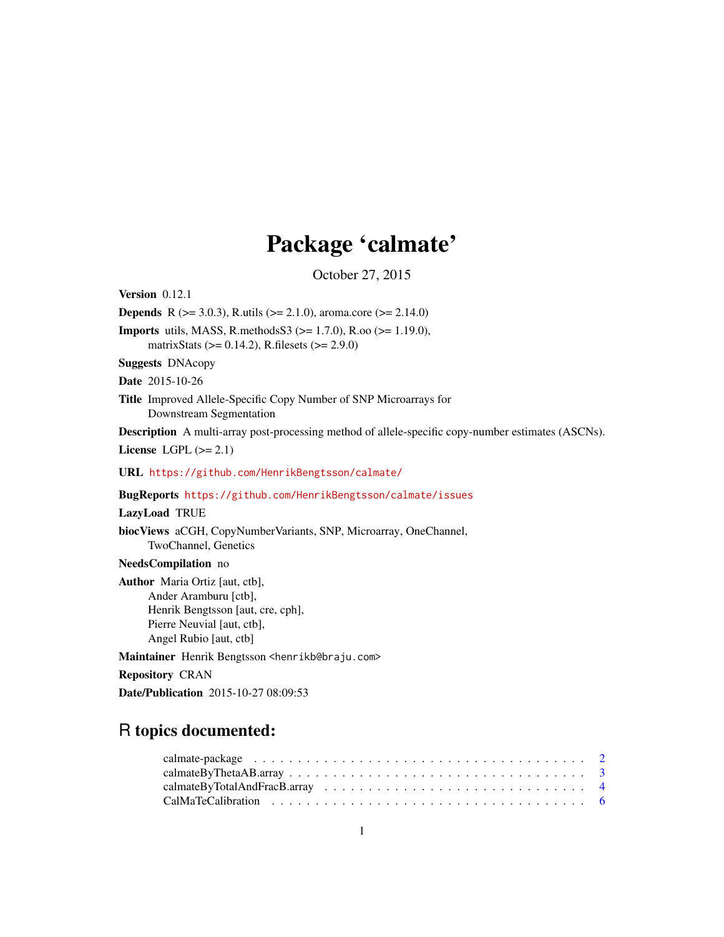## Package 'calmate'

October 27, 2015

<span id="page-0-0"></span>Version 0.12.1

**Depends** R ( $>= 3.0.3$ ), R.utils ( $>= 2.1.0$ ), aroma.core ( $>= 2.14.0$ )

Imports utils, MASS, R.methodsS3 (>= 1.7.0), R.oo (>= 1.19.0), matrixStats (>= 0.14.2), R.filesets (>= 2.9.0)

Suggests DNAcopy

Date 2015-10-26

Title Improved Allele-Specific Copy Number of SNP Microarrays for Downstream Segmentation

Description A multi-array post-processing method of allele-specific copy-number estimates (ASCNs).

License LGPL  $(>= 2.1)$ 

URL <https://github.com/HenrikBengtsson/calmate/>

#### BugReports <https://github.com/HenrikBengtsson/calmate/issues>

#### LazyLoad TRUE

biocViews aCGH, CopyNumberVariants, SNP, Microarray, OneChannel, TwoChannel, Genetics

NeedsCompilation no

Author Maria Ortiz [aut, ctb], Ander Aramburu [ctb], Henrik Bengtsson [aut, cre, cph], Pierre Neuvial [aut, ctb], Angel Rubio [aut, ctb]

Maintainer Henrik Bengtsson <henrikb@braju.com>

Repository CRAN

Date/Publication 2015-10-27 08:09:53

### R topics documented: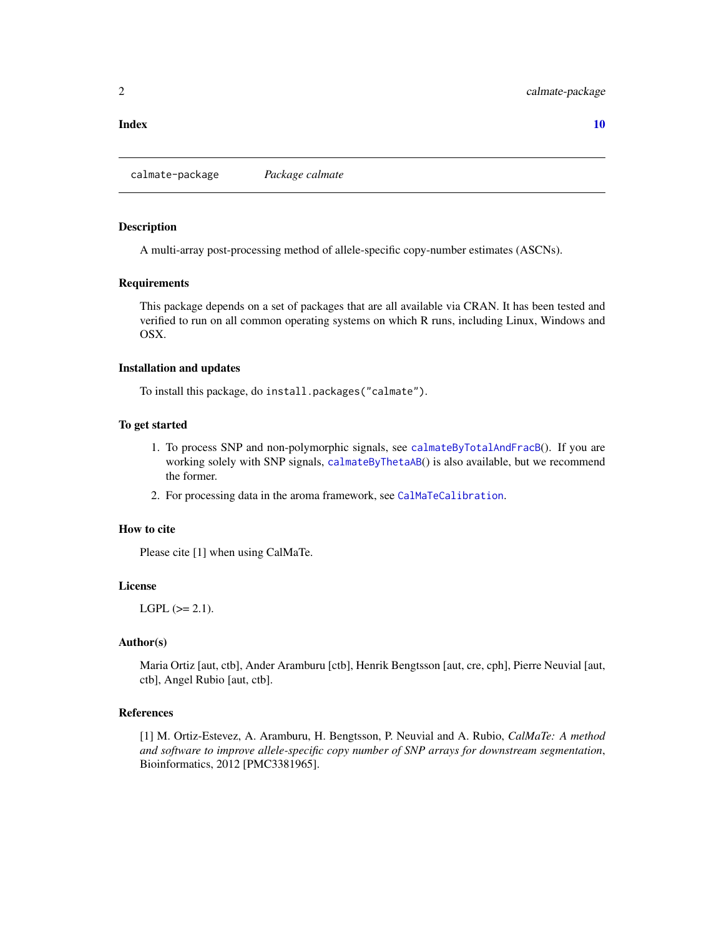<span id="page-1-0"></span>calmate-package *Package calmate*

#### Description

A multi-array post-processing method of allele-specific copy-number estimates (ASCNs).

#### Requirements

This package depends on a set of packages that are all available via CRAN. It has been tested and verified to run on all common operating systems on which R runs, including Linux, Windows and OSX.

#### Installation and updates

To install this package, do install.packages("calmate").

#### To get started

- 1. To process SNP and non-polymorphic signals, see [calmateByTotalAndFracB](#page-3-1)(). If you are working solely with SNP signals, [calmateByThetaAB](#page-2-1)() is also available, but we recommend the former.
- 2. For processing data in the aroma framework, see [CalMaTeCalibration](#page-5-1).

#### How to cite

Please cite [1] when using CalMaTe.

#### License

 $LGPL$  ( $>= 2.1$ ).

#### Author(s)

Maria Ortiz [aut, ctb], Ander Aramburu [ctb], Henrik Bengtsson [aut, cre, cph], Pierre Neuvial [aut, ctb], Angel Rubio [aut, ctb].

#### References

[1] M. Ortiz-Estevez, A. Aramburu, H. Bengtsson, P. Neuvial and A. Rubio, *CalMaTe: A method and software to improve allele-specific copy number of SNP arrays for downstream segmentation*, Bioinformatics, 2012 [PMC3381965].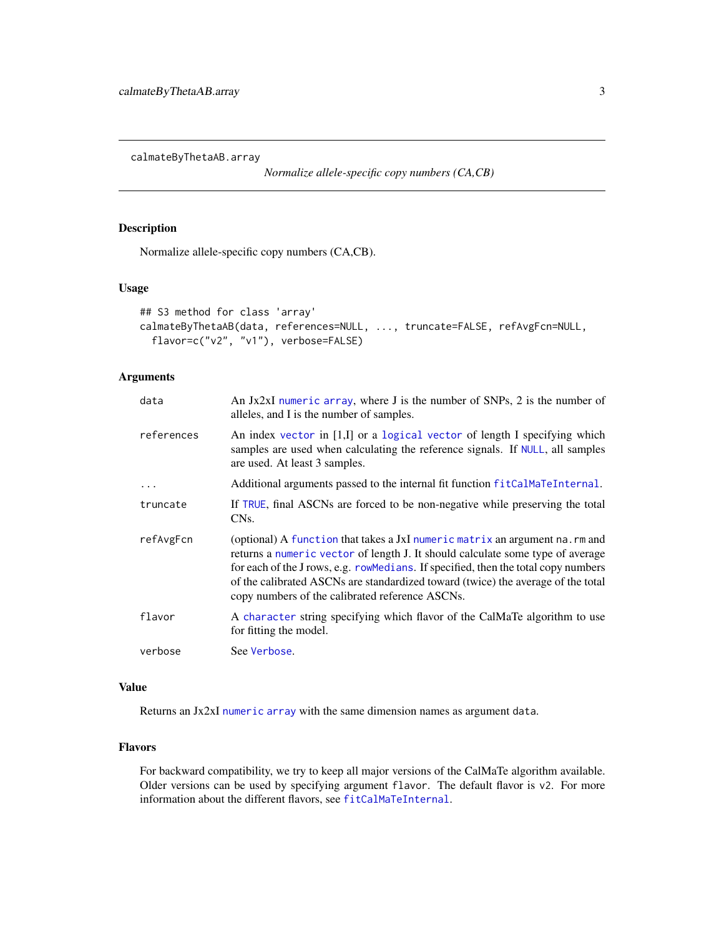<span id="page-2-0"></span>calmateByThetaAB.array

*Normalize allele-specific copy numbers (CA,CB)*

#### <span id="page-2-1"></span>Description

Normalize allele-specific copy numbers (CA,CB).

#### Usage

```
## S3 method for class 'array'
calmateByThetaAB(data, references=NULL, ..., truncate=FALSE, refAvgFcn=NULL,
  flavor=c("v2", "v1"), verbose=FALSE)
```
#### Arguments

| data       | An Jx2xI numeric array, where J is the number of SNPs, 2 is the number of<br>alleles, and I is the number of samples.                                                                                                                                                                                                                                                                       |
|------------|---------------------------------------------------------------------------------------------------------------------------------------------------------------------------------------------------------------------------------------------------------------------------------------------------------------------------------------------------------------------------------------------|
| references | An index vector in [1,I] or a logical vector of length I specifying which<br>samples are used when calculating the reference signals. If NULL, all samples<br>are used. At least 3 samples.                                                                                                                                                                                                 |
| $\ddots$   | Additional arguments passed to the internal fit function fitCalMaTeInternal.                                                                                                                                                                                                                                                                                                                |
| truncate   | If TRUE, final ASCNs are forced to be non-negative while preserving the total<br>CN <sub>s</sub> .                                                                                                                                                                                                                                                                                          |
| refAvgFcn  | (optional) A function that takes a JxI numeric matrix an argument na. rm and<br>returns a numeric vector of length J. It should calculate some type of average<br>for each of the J rows, e.g. rowMedians. If specified, then the total copy numbers<br>of the calibrated ASCNs are standardized toward (twice) the average of the total<br>copy numbers of the calibrated reference ASCNs. |
| flavor     | A character string specifying which flavor of the CalMaTe algorithm to use<br>for fitting the model.                                                                                                                                                                                                                                                                                        |
| verbose    | See Verbose.                                                                                                                                                                                                                                                                                                                                                                                |

#### Value

Returns an Jx2xI [numeric](#page-0-0) [array](#page-0-0) with the same dimension names as argument data.

#### Flavors

For backward compatibility, we try to keep all major versions of the CalMaTe algorithm available. Older versions can be used by specifying argument flavor. The default flavor is v2. For more information about the different flavors, see [fitCalMaTeInternal](#page-0-0).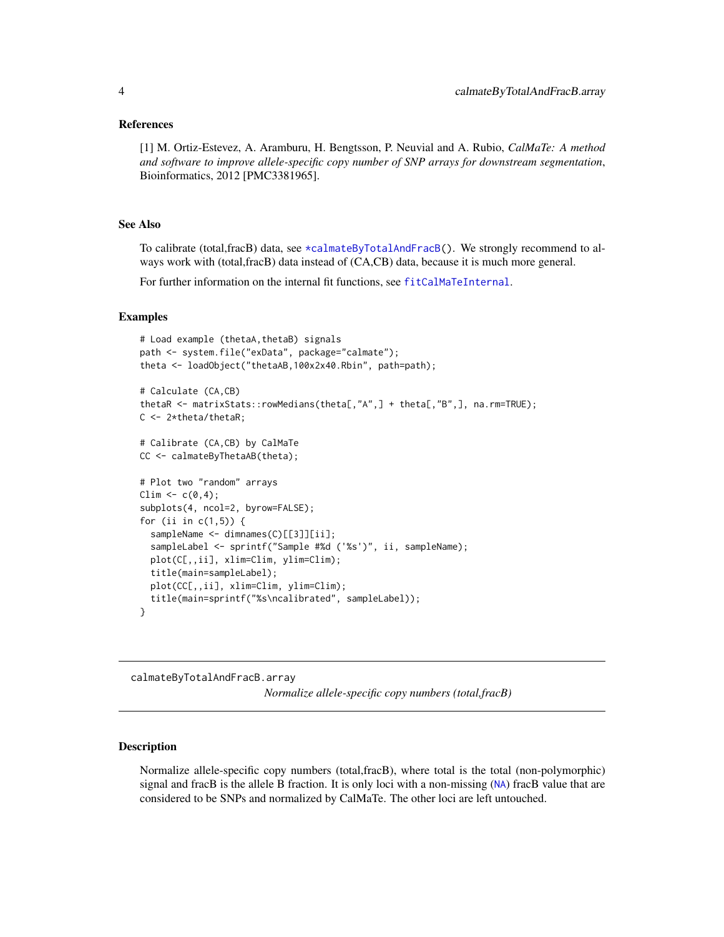#### <span id="page-3-0"></span>References

[1] M. Ortiz-Estevez, A. Aramburu, H. Bengtsson, P. Neuvial and A. Rubio, *CalMaTe: A method and software to improve allele-specific copy number of SNP arrays for downstream segmentation*, Bioinformatics, 2012 [PMC3381965].

#### See Also

To calibrate (total,fracB) data, see [\\*calmateByTotalAndFracB\(](#page-0-0)). We strongly recommend to always work with (total,fracB) data instead of (CA,CB) data, because it is much more general.

For further information on the internal fit functions, see [fitCalMaTeInternal](#page-0-0).

#### Examples

```
# Load example (thetaA,thetaB) signals
path <- system.file("exData", package="calmate");
theta <- loadObject("thetaAB,100x2x40.Rbin", path=path);
# Calculate (CA,CB)
thetaR <- matrixStats::rowMedians(theta[,"A",] + theta[,"B",], na.rm=TRUE);
C <- 2*theta/thetaR;
# Calibrate (CA,CB) by CalMaTe
CC <- calmateByThetaAB(theta);
# Plot two "random" arrays
Clim \leq c(0,4);subplots(4, ncol=2, byrow=FALSE);
for (ii in c(1,5)) {
 sampleName <- dimnames(C)[[3]][ii];
 sampleLabel <- sprintf("Sample #%d ('%s')", ii, sampleName);
 plot(C[,,ii], xlim=Clim, ylim=Clim);
 title(main=sampleLabel);
 plot(CC[,,ii], xlim=Clim, ylim=Clim);
  title(main=sprintf("%s\ncalibrated", sampleLabel));
}
```
calmateByTotalAndFracB.array *Normalize allele-specific copy numbers (total,fracB)*

#### <span id="page-3-1"></span>Description

Normalize allele-specific copy numbers (total,fracB), where total is the total (non-polymorphic) signal and fracB is the allele B fraction. It is only loci with a non-missing ([NA](#page-0-0)) fracB value that are considered to be SNPs and normalized by CalMaTe. The other loci are left untouched.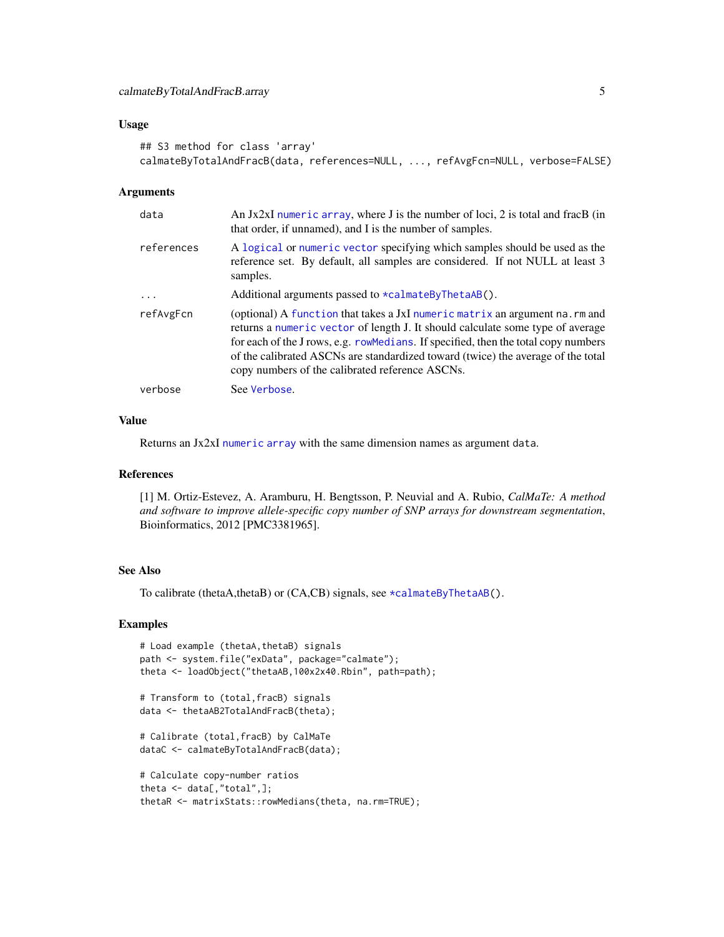#### <span id="page-4-0"></span>Usage

```
## S3 method for class 'array'
calmateByTotalAndFracB(data, references=NULL, ..., refAvgFcn=NULL, verbose=FALSE)
```
#### Arguments

| data       | An $Jx2xI$ numeric array, where $J$ is the number of loci, 2 is total and frac $B$ (in<br>that order, if unnamed), and I is the number of samples.                                                                                                                                                                                                                                           |
|------------|----------------------------------------------------------------------------------------------------------------------------------------------------------------------------------------------------------------------------------------------------------------------------------------------------------------------------------------------------------------------------------------------|
| references | A logical or numeric vector specifying which samples should be used as the<br>reference set. By default, all samples are considered. If not NULL at least 3<br>samples.                                                                                                                                                                                                                      |
| $\cdots$   | Additional arguments passed to $\star$ calmateByThetaAB().                                                                                                                                                                                                                                                                                                                                   |
| refAvgFcn  | (optional) A function that takes a JxI numeric matrix an argument na. rm and<br>returns a numeric vector of length J. It should calculate some type of average<br>for each of the J rows, e.g. row Medians. If specified, then the total copy numbers<br>of the calibrated ASCNs are standardized toward (twice) the average of the total<br>copy numbers of the calibrated reference ASCNs. |
| verbose    | See Verbose.                                                                                                                                                                                                                                                                                                                                                                                 |

#### Value

Returns an Jx2xI [numeric](#page-0-0) [array](#page-0-0) with the same dimension names as argument data.

#### References

[1] M. Ortiz-Estevez, A. Aramburu, H. Bengtsson, P. Neuvial and A. Rubio, *CalMaTe: A method and software to improve allele-specific copy number of SNP arrays for downstream segmentation*, Bioinformatics, 2012 [PMC3381965].

#### See Also

To calibrate (thetaA,thetaB) or (CA,CB) signals, see [\\*calmateByThetaAB\(](#page-0-0)).

#### Examples

```
# Load example (thetaA,thetaB) signals
path <- system.file("exData", package="calmate");
theta <- loadObject("thetaAB,100x2x40.Rbin", path=path);
# Transform to (total,fracB) signals
data <- thetaAB2TotalAndFracB(theta);
# Calibrate (total,fracB) by CalMaTe
dataC <- calmateByTotalAndFracB(data);
# Calculate copy-number ratios
theta <- data[,"total",];
```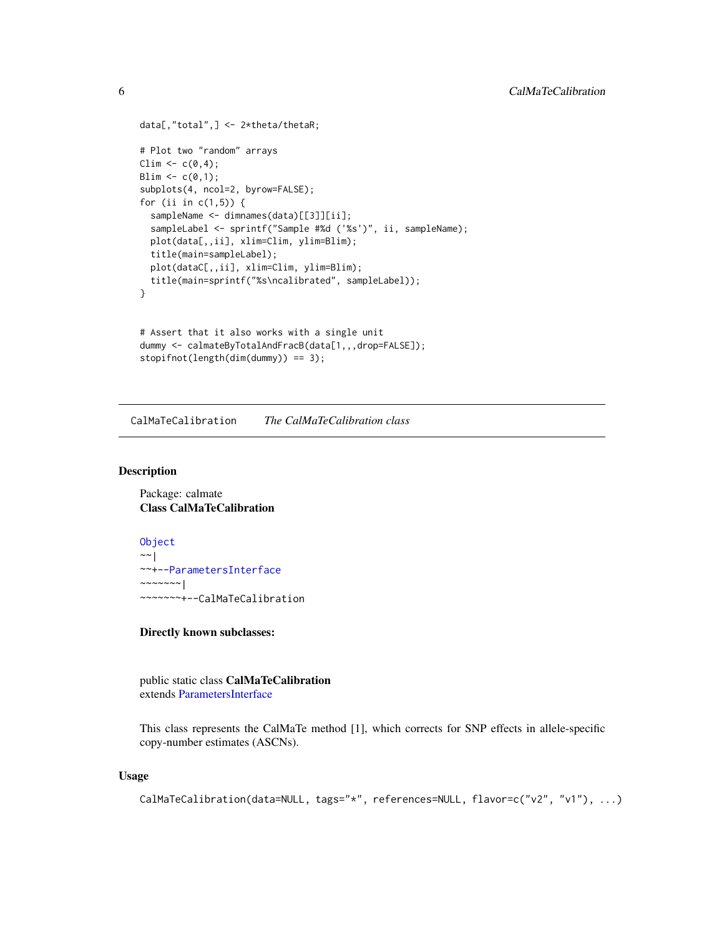```
data[,"total",] <- 2*theta/thetaR;
# Plot two "random" arrays
Clim <- c(0,4);Blim <- c(0,1);subplots(4, ncol=2, byrow=FALSE);
for (ii in c(1,5)) {
  sampleName <- dimnames(data)[[3]][ii];
  sampleLabel <- sprintf("Sample #%d ('%s')", ii, sampleName);
  plot(data[,,ii], xlim=Clim, ylim=Blim);
  title(main=sampleLabel);
  plot(dataC[,,ii], xlim=Clim, ylim=Blim);
  title(main=sprintf("%s\ncalibrated", sampleLabel));
}
# Assert that it also works with a single unit
dummy <- calmateByTotalAndFracB(data[1,,,drop=FALSE]);
stopifnot(length(dim(dummy)) == 3);
```
<span id="page-5-1"></span>CalMaTeCalibration *The CalMaTeCalibration class*

#### Description

Package: calmate Class CalMaTeCalibration

[Object](#page-0-0) ~~| ~~+-[-ParametersInterface](#page-0-0)  $~\sim$   $~\sim$   $~\sim$   $~\sim$   $~\sim$   $~\sim$   $~\sim$ ~~~~~~~+--CalMaTeCalibration

#### Directly known subclasses:

public static class CalMaTeCalibration extends [ParametersInterface](#page-0-0)

This class represents the CalMaTe method [1], which corrects for SNP effects in allele-specific copy-number estimates (ASCNs).

#### Usage

```
CalMaTeCalibration(data=NULL, tags="*", references=NULL, flavor=c("v2", "v1"), ...)
```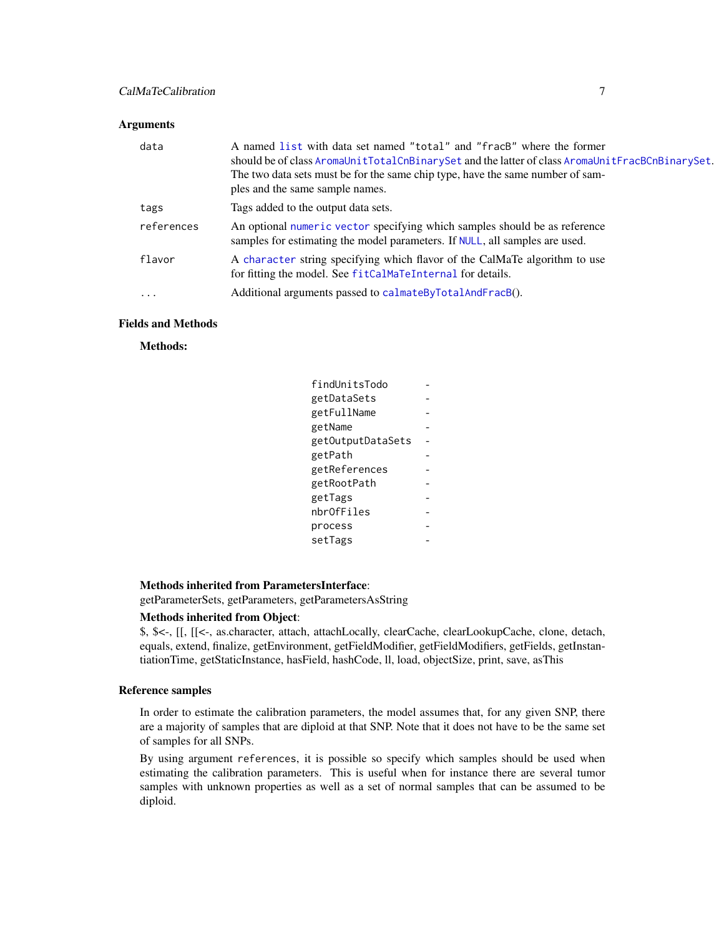#### <span id="page-6-0"></span>CalMaTeCalibration 7

#### Arguments

| data       | A named list with data set named "total" and "fracB" where the former<br>should be of class AromaUnitTotalCnBinarySet and the latter of class AromaUnitFracBCnBinarySet.<br>The two data sets must be for the same chip type, have the same number of sam-<br>ples and the same sample names. |
|------------|-----------------------------------------------------------------------------------------------------------------------------------------------------------------------------------------------------------------------------------------------------------------------------------------------|
| tags       | Tags added to the output data sets.                                                                                                                                                                                                                                                           |
| references | An optional numeric vector specifying which samples should be as reference<br>samples for estimating the model parameters. If NULL, all samples are used.                                                                                                                                     |
| flavor     | A character string specifying which flavor of the CalMaTe algorithm to use<br>for fitting the model. See fitCalMaTeInternal for details.                                                                                                                                                      |
| $\ddotsc$  | Additional arguments passed to calmateByTotalAndFracB().                                                                                                                                                                                                                                      |

#### Fields and Methods

#### Methods:

| findUnitsTodo     |  |
|-------------------|--|
| getDataSets       |  |
| getFullName       |  |
| getName           |  |
| getOutputDataSets |  |
| getPath           |  |
| getReferences     |  |
| getRootPath       |  |
| getTags           |  |
| nbrOfFiles        |  |
| process           |  |
| setTags           |  |
|                   |  |

#### Methods inherited from ParametersInterface:

getParameterSets, getParameters, getParametersAsString

#### Methods inherited from Object:

\$, \$<-, [[, [[<-, as.character, attach, attachLocally, clearCache, clearLookupCache, clone, detach, equals, extend, finalize, getEnvironment, getFieldModifier, getFieldModifiers, getFields, getInstantiationTime, getStaticInstance, hasField, hashCode, ll, load, objectSize, print, save, asThis

#### Reference samples

In order to estimate the calibration parameters, the model assumes that, for any given SNP, there are a majority of samples that are diploid at that SNP. Note that it does not have to be the same set of samples for all SNPs.

By using argument references, it is possible so specify which samples should be used when estimating the calibration parameters. This is useful when for instance there are several tumor samples with unknown properties as well as a set of normal samples that can be assumed to be diploid.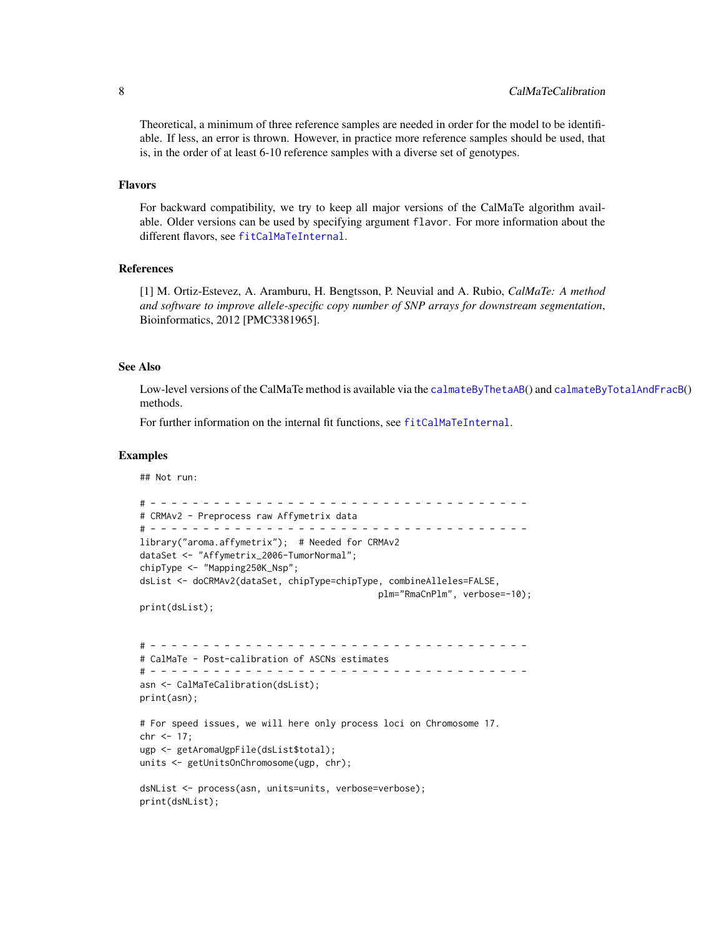<span id="page-7-0"></span>Theoretical, a minimum of three reference samples are needed in order for the model to be identifiable. If less, an error is thrown. However, in practice more reference samples should be used, that is, in the order of at least 6-10 reference samples with a diverse set of genotypes.

#### Flavors

For backward compatibility, we try to keep all major versions of the CalMaTe algorithm available. Older versions can be used by specifying argument flavor. For more information about the different flavors, see [fitCalMaTeInternal](#page-0-0).

#### References

[1] M. Ortiz-Estevez, A. Aramburu, H. Bengtsson, P. Neuvial and A. Rubio, *CalMaTe: A method and software to improve allele-specific copy number of SNP arrays for downstream segmentation*, Bioinformatics, 2012 [PMC3381965].

#### See Also

Low-level versions of the CalMaTe method is available via the [calmateByThetaAB](#page-2-1)() and [calmateByTotalAndFracB](#page-3-1)() methods.

For further information on the internal fit functions, see [fitCalMaTeInternal](#page-0-0).

#### Examples

```
## Not run:
# - - - - - - - - - - - - - - - - - - - - - - - - - - - - - - - - - - - -
# CRMAv2 - Preprocess raw Affymetrix data
# - - - - - - - - - - - - - - - - - - - - - - - - - - - - - - - - - - - -
library("aroma.affymetrix"); # Needed for CRMAv2
dataSet <- "Affymetrix_2006-TumorNormal";
chipType <- "Mapping250K_Nsp";
dsList <- doCRMAv2(dataSet, chipType=chipType, combineAlleles=FALSE,
                                             plm="RmaCnPlm", verbose=-10);
print(dsList);
# - - - - - - - - - - - - - - - - - - - - - - - - - - - - - - - - - - - -
# CalMaTe - Post-calibration of ASCNs estimates
# - - - - - - - - - - - - - - - - - - - - - - - - - - - - - - - - - - - -
asn <- CalMaTeCalibration(dsList);
print(asn);
# For speed issues, we will here only process loci on Chromosome 17.
chr < -17;
ugp <- getAromaUgpFile(dsList$total);
units <- getUnitsOnChromosome(ugp, chr);
dsNList <- process(asn, units=units, verbose=verbose);
print(dsNList);
```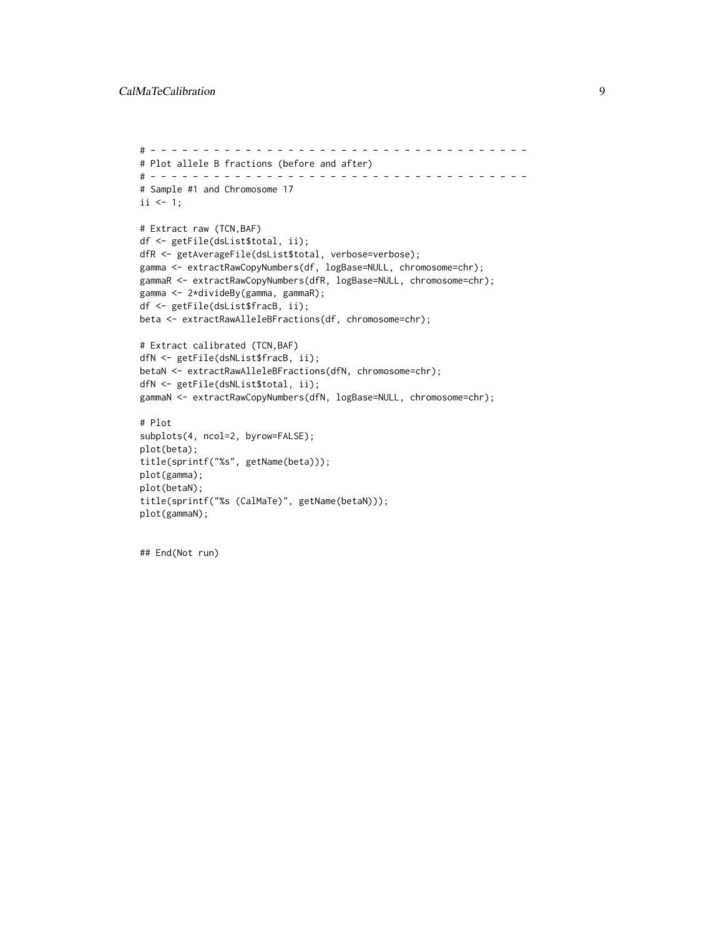```
# - - - - - - - - - - - - - - - - - - - - - - - - - - - - - - - - - - - -
# Plot allele B fractions (before and after)
# - - - - - - - - - - - - - - - - - - - - - - - - - - - - - - - - - - - -
# Sample #1 and Chromosome 17
ii \leq 1;
# Extract raw (TCN,BAF)
df <- getFile(dsList$total, ii);
dfR <- getAverageFile(dsList$total, verbose=verbose);
gamma <- extractRawCopyNumbers(df, logBase=NULL, chromosome=chr);
gammaR <- extractRawCopyNumbers(dfR, logBase=NULL, chromosome=chr);
gamma <- 2*divideBy(gamma, gammaR);
df <- getFile(dsList$fracB, ii);
beta <- extractRawAlleleBFractions(df, chromosome=chr);
# Extract calibrated (TCN,BAF)
dfN <- getFile(dsNList$fracB, ii);
betaN <- extractRawAlleleBFractions(dfN, chromosome=chr);
dfN <- getFile(dsNList$total, ii);
gammaN <- extractRawCopyNumbers(dfN, logBase=NULL, chromosome=chr);
# Plot
subplots(4, ncol=2, byrow=FALSE);
plot(beta);
title(sprintf("%s", getName(beta)));
plot(gamma);
plot(betaN);
title(sprintf("%s (CalMaTe)", getName(betaN)));
plot(gammaN);
```

```
## End(Not run)
```